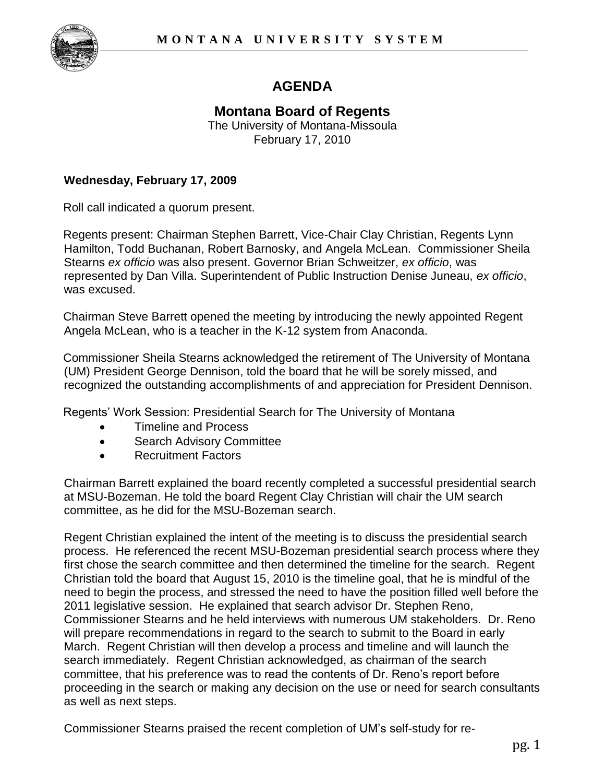

## **AGENDA**

## **Montana Board of Regents**  The University of Montana-Missoula

February 17, 2010

## **Wednesday, February 17, 2009**

Roll call indicated a quorum present.

Regents present: Chairman Stephen Barrett, Vice-Chair Clay Christian, Regents Lynn Hamilton, Todd Buchanan, Robert Barnosky, and Angela McLean. Commissioner Sheila Stearns *ex officio* was also present. Governor Brian Schweitzer, *ex officio*, was represented by Dan Villa. Superintendent of Public Instruction Denise Juneau, *ex officio*, was excused.

Chairman Steve Barrett opened the meeting by introducing the newly appointed Regent Angela McLean, who is a teacher in the K-12 system from Anaconda.

Commissioner Sheila Stearns acknowledged the retirement of The University of Montana (UM) President George Dennison, told the board that he will be sorely missed, and recognized the outstanding accomplishments of and appreciation for President Dennison.

Regents' Work Session: Presidential Search for The University of Montana

- Timeline and Process
- Search Advisory Committee
- Recruitment Factors

Chairman Barrett explained the board recently completed a successful presidential search at MSU-Bozeman. He told the board Regent Clay Christian will chair the UM search committee, as he did for the MSU-Bozeman search.

Regent Christian explained the intent of the meeting is to discuss the presidential search process. He referenced the recent MSU-Bozeman presidential search process where they first chose the search committee and then determined the timeline for the search. Regent Christian told the board that August 15, 2010 is the timeline goal, that he is mindful of the need to begin the process, and stressed the need to have the position filled well before the 2011 legislative session. He explained that search advisor Dr. Stephen Reno, Commissioner Stearns and he held interviews with numerous UM stakeholders. Dr. Reno will prepare recommendations in regard to the search to submit to the Board in early March. Regent Christian will then develop a process and timeline and will launch the search immediately. Regent Christian acknowledged, as chairman of the search committee, that his preference was to read the contents of Dr. Reno's report before proceeding in the search or making any decision on the use or need for search consultants as well as next steps.

Commissioner Stearns praised the recent completion of UM's self-study for re-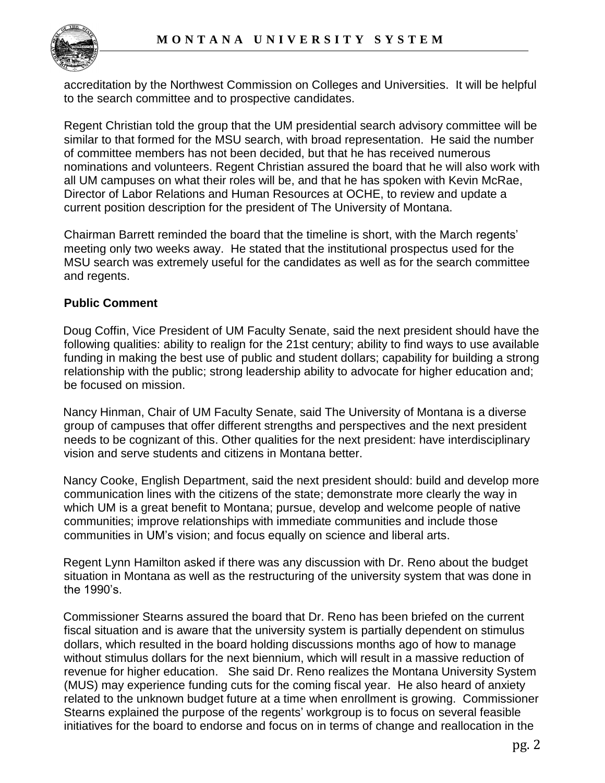

accreditation by the Northwest Commission on Colleges and Universities. It will be helpful to the search committee and to prospective candidates.

Regent Christian told the group that the UM presidential search advisory committee will be similar to that formed for the MSU search, with broad representation. He said the number of committee members has not been decided, but that he has received numerous nominations and volunteers. Regent Christian assured the board that he will also work with all UM campuses on what their roles will be, and that he has spoken with Kevin McRae, Director of Labor Relations and Human Resources at OCHE, to review and update a current position description for the president of The University of Montana.

Chairman Barrett reminded the board that the timeline is short, with the March regents' meeting only two weeks away. He stated that the institutional prospectus used for the MSU search was extremely useful for the candidates as well as for the search committee and regents.

## **Public Comment**

Doug Coffin, Vice President of UM Faculty Senate, said the next president should have the following qualities: ability to realign for the 21st century; ability to find ways to use available funding in making the best use of public and student dollars; capability for building a strong relationship with the public; strong leadership ability to advocate for higher education and; be focused on mission.

Nancy Hinman, Chair of UM Faculty Senate, said The University of Montana is a diverse group of campuses that offer different strengths and perspectives and the next president needs to be cognizant of this. Other qualities for the next president: have interdisciplinary vision and serve students and citizens in Montana better.

Nancy Cooke, English Department, said the next president should: build and develop more communication lines with the citizens of the state; demonstrate more clearly the way in which UM is a great benefit to Montana; pursue, develop and welcome people of native communities; improve relationships with immediate communities and include those communities in UM's vision; and focus equally on science and liberal arts.

Regent Lynn Hamilton asked if there was any discussion with Dr. Reno about the budget situation in Montana as well as the restructuring of the university system that was done in the 1990's.

Commissioner Stearns assured the board that Dr. Reno has been briefed on the current fiscal situation and is aware that the university system is partially dependent on stimulus dollars, which resulted in the board holding discussions months ago of how to manage without stimulus dollars for the next biennium, which will result in a massive reduction of revenue for higher education. She said Dr. Reno realizes the Montana University System (MUS) may experience funding cuts for the coming fiscal year. He also heard of anxiety related to the unknown budget future at a time when enrollment is growing. Commissioner Stearns explained the purpose of the regents' workgroup is to focus on several feasible initiatives for the board to endorse and focus on in terms of change and reallocation in the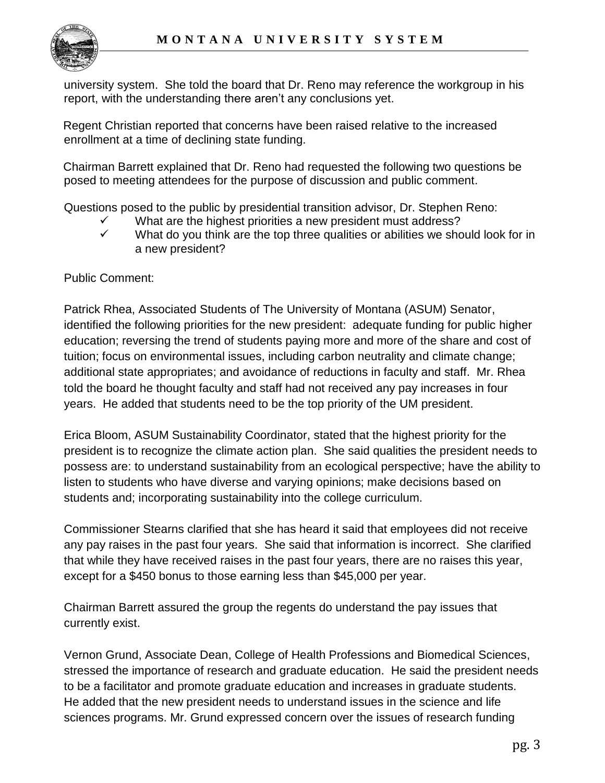

university system. She told the board that Dr. Reno may reference the workgroup in his report, with the understanding there aren't any conclusions yet.

Regent Christian reported that concerns have been raised relative to the increased enrollment at a time of declining state funding.

Chairman Barrett explained that Dr. Reno had requested the following two questions be posed to meeting attendees for the purpose of discussion and public comment.

Questions posed to the public by presidential transition advisor, Dr. Stephen Reno:

- $\checkmark$  What are the highest priorities a new president must address?<br> $\checkmark$  What do you think are the top three qualities or abilities we sho
- What do you think are the top three qualities or abilities we should look for in a new president?

Public Comment:

Patrick Rhea, Associated Students of The University of Montana (ASUM) Senator, identified the following priorities for the new president: adequate funding for public higher education; reversing the trend of students paying more and more of the share and cost of tuition; focus on environmental issues, including carbon neutrality and climate change; additional state appropriates; and avoidance of reductions in faculty and staff. Mr. Rhea told the board he thought faculty and staff had not received any pay increases in four years. He added that students need to be the top priority of the UM president.

Erica Bloom, ASUM Sustainability Coordinator, stated that the highest priority for the president is to recognize the climate action plan. She said qualities the president needs to possess are: to understand sustainability from an ecological perspective; have the ability to listen to students who have diverse and varying opinions; make decisions based on students and; incorporating sustainability into the college curriculum.

Commissioner Stearns clarified that she has heard it said that employees did not receive any pay raises in the past four years. She said that information is incorrect. She clarified that while they have received raises in the past four years, there are no raises this year, except for a \$450 bonus to those earning less than \$45,000 per year.

Chairman Barrett assured the group the regents do understand the pay issues that currently exist.

Vernon Grund, Associate Dean, College of Health Professions and Biomedical Sciences, stressed the importance of research and graduate education. He said the president needs to be a facilitator and promote graduate education and increases in graduate students. He added that the new president needs to understand issues in the science and life sciences programs. Mr. Grund expressed concern over the issues of research funding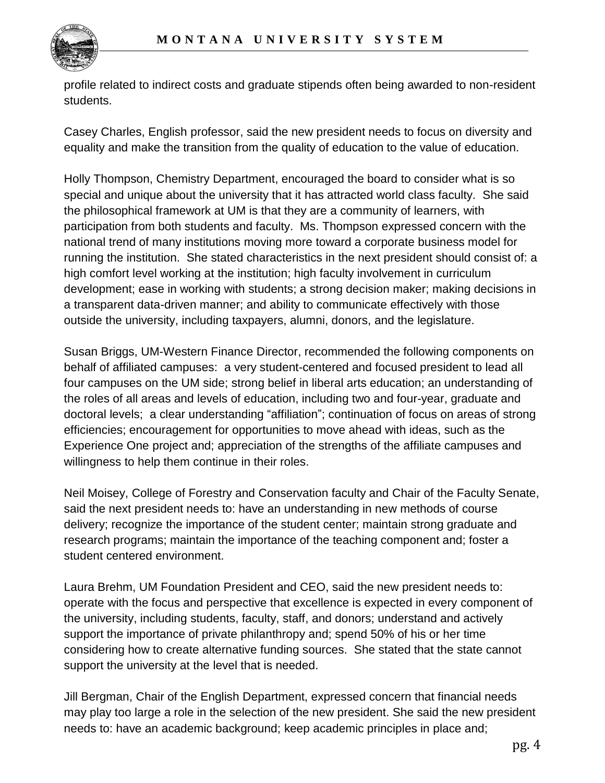

profile related to indirect costs and graduate stipends often being awarded to non-resident students.

Casey Charles, English professor, said the new president needs to focus on diversity and equality and make the transition from the quality of education to the value of education.

Holly Thompson, Chemistry Department, encouraged the board to consider what is so special and unique about the university that it has attracted world class faculty. She said the philosophical framework at UM is that they are a community of learners, with participation from both students and faculty. Ms. Thompson expressed concern with the national trend of many institutions moving more toward a corporate business model for running the institution. She stated characteristics in the next president should consist of: a high comfort level working at the institution; high faculty involvement in curriculum development; ease in working with students; a strong decision maker; making decisions in a transparent data-driven manner; and ability to communicate effectively with those outside the university, including taxpayers, alumni, donors, and the legislature.

Susan Briggs, UM-Western Finance Director, recommended the following components on behalf of affiliated campuses: a very student-centered and focused president to lead all four campuses on the UM side; strong belief in liberal arts education; an understanding of the roles of all areas and levels of education, including two and four-year, graduate and doctoral levels; a clear understanding "affiliation"; continuation of focus on areas of strong efficiencies; encouragement for opportunities to move ahead with ideas, such as the Experience One project and; appreciation of the strengths of the affiliate campuses and willingness to help them continue in their roles.

Neil Moisey, College of Forestry and Conservation faculty and Chair of the Faculty Senate, said the next president needs to: have an understanding in new methods of course delivery; recognize the importance of the student center; maintain strong graduate and research programs; maintain the importance of the teaching component and; foster a student centered environment.

Laura Brehm, UM Foundation President and CEO, said the new president needs to: operate with the focus and perspective that excellence is expected in every component of the university, including students, faculty, staff, and donors; understand and actively support the importance of private philanthropy and; spend 50% of his or her time considering how to create alternative funding sources. She stated that the state cannot support the university at the level that is needed.

Jill Bergman, Chair of the English Department, expressed concern that financial needs may play too large a role in the selection of the new president. She said the new president needs to: have an academic background; keep academic principles in place and;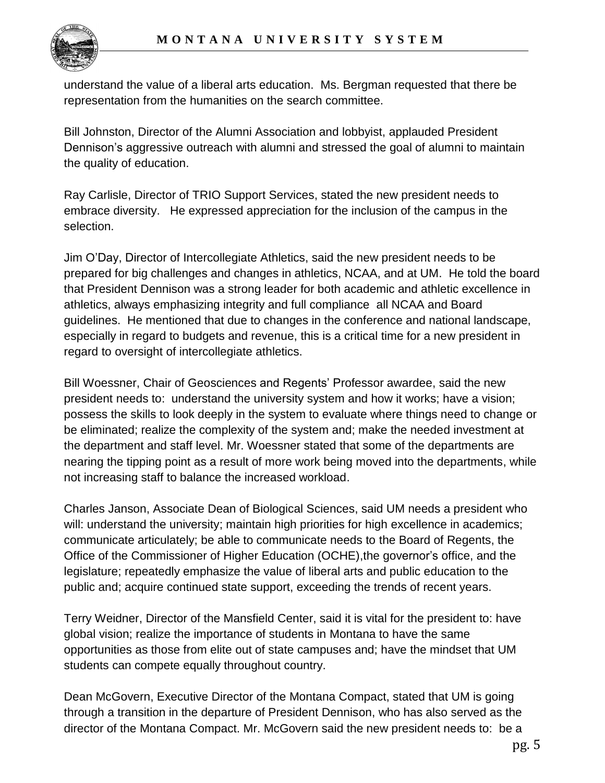

understand the value of a liberal arts education. Ms. Bergman requested that there be representation from the humanities on the search committee.

Bill Johnston, Director of the Alumni Association and lobbyist, applauded President Dennison's aggressive outreach with alumni and stressed the goal of alumni to maintain the quality of education.

Ray Carlisle, Director of TRIO Support Services, stated the new president needs to embrace diversity. He expressed appreciation for the inclusion of the campus in the selection.

Jim O'Day, Director of Intercollegiate Athletics, said the new president needs to be prepared for big challenges and changes in athletics, NCAA, and at UM. He told the board that President Dennison was a strong leader for both academic and athletic excellence in athletics, always emphasizing integrity and full compliance all NCAA and Board guidelines. He mentioned that due to changes in the conference and national landscape, especially in regard to budgets and revenue, this is a critical time for a new president in regard to oversight of intercollegiate athletics.

Bill Woessner, Chair of Geosciences and Regents' Professor awardee, said the new president needs to: understand the university system and how it works; have a vision; possess the skills to look deeply in the system to evaluate where things need to change or be eliminated; realize the complexity of the system and; make the needed investment at the department and staff level. Mr. Woessner stated that some of the departments are nearing the tipping point as a result of more work being moved into the departments, while not increasing staff to balance the increased workload.

Charles Janson, Associate Dean of Biological Sciences, said UM needs a president who will: understand the university; maintain high priorities for high excellence in academics; communicate articulately; be able to communicate needs to the Board of Regents, the Office of the Commissioner of Higher Education (OCHE),the governor's office, and the legislature; repeatedly emphasize the value of liberal arts and public education to the public and; acquire continued state support, exceeding the trends of recent years.

Terry Weidner, Director of the Mansfield Center, said it is vital for the president to: have global vision; realize the importance of students in Montana to have the same opportunities as those from elite out of state campuses and; have the mindset that UM students can compete equally throughout country.

Dean McGovern, Executive Director of the Montana Compact, stated that UM is going through a transition in the departure of President Dennison, who has also served as the director of the Montana Compact. Mr. McGovern said the new president needs to: be a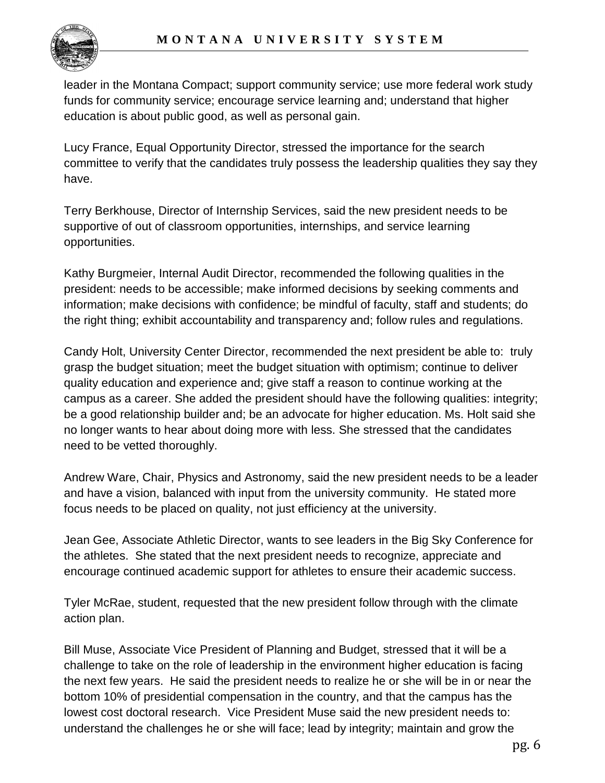

leader in the Montana Compact; support community service; use more federal work study funds for community service; encourage service learning and; understand that higher education is about public good, as well as personal gain.

Lucy France, Equal Opportunity Director, stressed the importance for the search committee to verify that the candidates truly possess the leadership qualities they say they have.

Terry Berkhouse, Director of Internship Services, said the new president needs to be supportive of out of classroom opportunities, internships, and service learning opportunities.

Kathy Burgmeier, Internal Audit Director, recommended the following qualities in the president: needs to be accessible; make informed decisions by seeking comments and information; make decisions with confidence; be mindful of faculty, staff and students; do the right thing; exhibit accountability and transparency and; follow rules and regulations.

Candy Holt, University Center Director, recommended the next president be able to: truly grasp the budget situation; meet the budget situation with optimism; continue to deliver quality education and experience and; give staff a reason to continue working at the campus as a career. She added the president should have the following qualities: integrity; be a good relationship builder and; be an advocate for higher education. Ms. Holt said she no longer wants to hear about doing more with less. She stressed that the candidates need to be vetted thoroughly.

Andrew Ware, Chair, Physics and Astronomy, said the new president needs to be a leader and have a vision, balanced with input from the university community. He stated more focus needs to be placed on quality, not just efficiency at the university.

Jean Gee, Associate Athletic Director, wants to see leaders in the Big Sky Conference for the athletes. She stated that the next president needs to recognize, appreciate and encourage continued academic support for athletes to ensure their academic success.

Tyler McRae, student, requested that the new president follow through with the climate action plan.

Bill Muse, Associate Vice President of Planning and Budget, stressed that it will be a challenge to take on the role of leadership in the environment higher education is facing the next few years. He said the president needs to realize he or she will be in or near the bottom 10% of presidential compensation in the country, and that the campus has the lowest cost doctoral research. Vice President Muse said the new president needs to: understand the challenges he or she will face; lead by integrity; maintain and grow the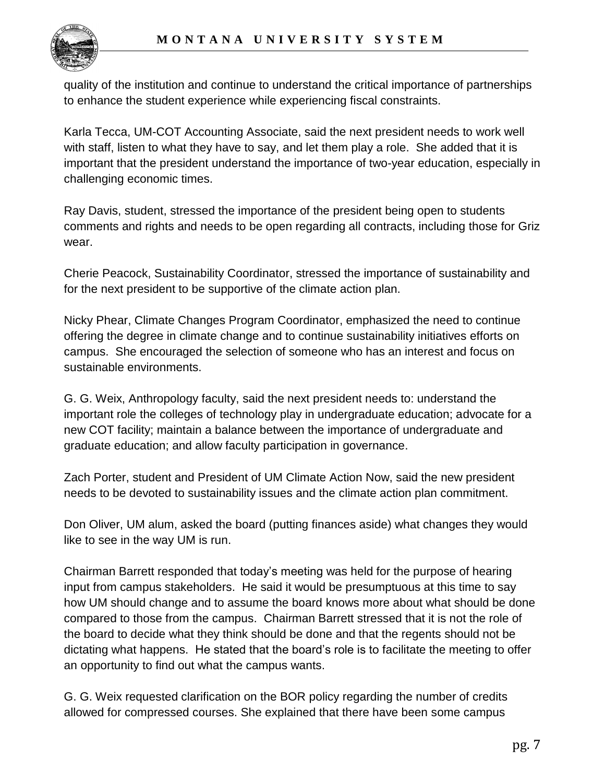

quality of the institution and continue to understand the critical importance of partnerships to enhance the student experience while experiencing fiscal constraints.

Karla Tecca, UM-COT Accounting Associate, said the next president needs to work well with staff, listen to what they have to say, and let them play a role. She added that it is important that the president understand the importance of two-year education, especially in challenging economic times.

Ray Davis, student, stressed the importance of the president being open to students comments and rights and needs to be open regarding all contracts, including those for Griz wear.

Cherie Peacock, Sustainability Coordinator, stressed the importance of sustainability and for the next president to be supportive of the climate action plan.

Nicky Phear, Climate Changes Program Coordinator, emphasized the need to continue offering the degree in climate change and to continue sustainability initiatives efforts on campus. She encouraged the selection of someone who has an interest and focus on sustainable environments.

G. G. Weix, Anthropology faculty, said the next president needs to: understand the important role the colleges of technology play in undergraduate education; advocate for a new COT facility; maintain a balance between the importance of undergraduate and graduate education; and allow faculty participation in governance.

Zach Porter, student and President of UM Climate Action Now, said the new president needs to be devoted to sustainability issues and the climate action plan commitment.

Don Oliver, UM alum, asked the board (putting finances aside) what changes they would like to see in the way UM is run.

Chairman Barrett responded that today's meeting was held for the purpose of hearing input from campus stakeholders. He said it would be presumptuous at this time to say how UM should change and to assume the board knows more about what should be done compared to those from the campus. Chairman Barrett stressed that it is not the role of the board to decide what they think should be done and that the regents should not be dictating what happens. He stated that the board's role is to facilitate the meeting to offer an opportunity to find out what the campus wants.

G. G. Weix requested clarification on the BOR policy regarding the number of credits allowed for compressed courses. She explained that there have been some campus